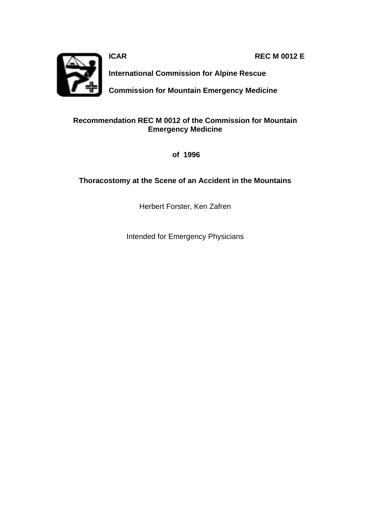**ICAR REC M 0012 E** 



**International Commission for Alpine Rescue**

**Commission for Mountain Emergency Medicine**

### **Recommendation REC M 0012 of the Commission for Mountain Emergency Medicine**

 **of 1996**

### **Thoracostomy at the Scene of an Accident in the Mountains**

Herbert Forster, Ken Zafren

Intended for Emergency Physicians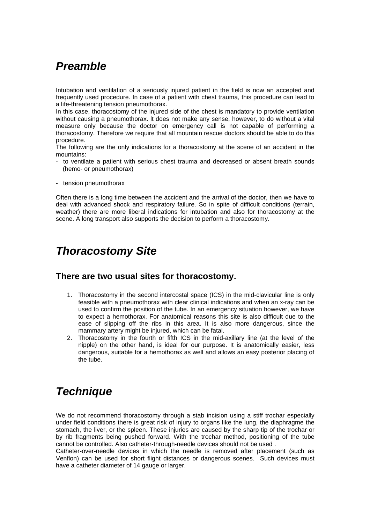# *Preamble*

Intubation and ventilation of a seriously injured patient in the field is now an accepted and frequently used procedure. In case of a patient with chest trauma, this procedure can lead to a life-threatening tension pneumothorax.

In this case, thoracostomy of the injured side of the chest is mandatory to provide ventilation without causing a pneumothorax. lt does not make any sense, however, to do without a vital measure only because the doctor on emergency call is not capable of performing a thoracostomy. Therefore we require that all mountain rescue doctors should be able to do this procedure.

The following are the only indications for a thoracostomy at the scene of an accident in the mountains:

- to ventilate a patient with serious chest trauma and decreased or absent breath sounds (hemo- or pneumothorax)
- tension pneumothorax

Often there is a long time between the accident and the arrival of the doctor, then we have to deal with advanced shock and respiratory failure. So in spite of difficult conditions (terrain, weather) there are more liberal indications for intubation and also for thoracostomy at the scene. A long transport also supports the decision to perform a thoracostomy.

## *Thoracostomy Site*

### **There are two usual sites for thoracostomy.**

- 1. Thoracostomy in the second intercostal space (ICS) in the mid-clavicular line is only feasible with a pneumothorax with clear clinical indications and when an x-ray can be used to confirm the position of the tube. In an emergency situation however, we have to expect a hemothorax. For anatomical reasons this site is also difficult due to the ease of slipping off the ribs in this area. It is also more dangerous, since the mammary artery might be injured, which can be fatal.
- 2. Thoracostomy in the fourth or fifth ICS in the mid-axillary line (at the level of the nipple) on the other hand, is ideal for our purpose. It is anatomically easier, less dangerous, suitable for a hemothorax as well and allows an easy posterior placing of the tube.

# *Technique*

We do not recommend thoracostomy through a stab incision using a stiff trochar especially under field conditions there is great risk of injury to organs like the lung, the diaphragme the stomach, the liver, or the spleen. These injuries are caused by the sharp tip of the trochar or by rib fragments being pushed forward. With the trochar method, positioning of the tube cannot be controlled. Also catheter-through-needle devices should not be used .

Catheter-over-needle devices in which the needle is removed after placement (such as Venflon) can be used for short flight distances or dangerous scenes. Such devices must have a catheter diameter of 14 gauge or larger.